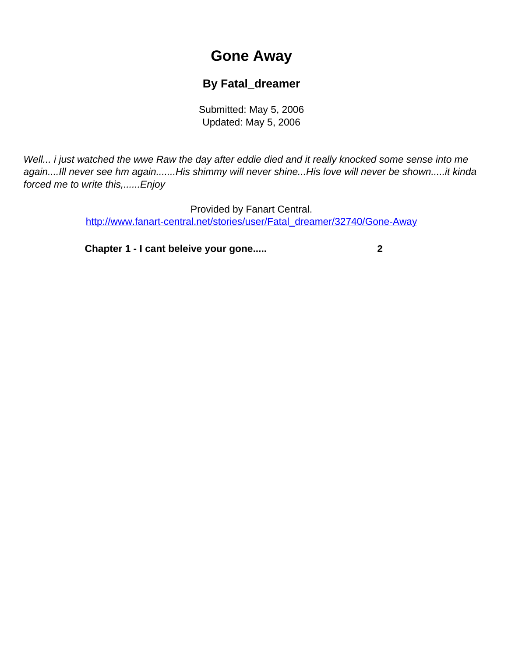## **Gone Away**

## **By Fatal\_dreamer**

Submitted: May 5, 2006 Updated: May 5, 2006

<span id="page-0-0"></span>Well... i just watched the wwe Raw the day after eddie died and it really knocked some sense into me again....Ill never see hm again.......His shimmy will never shine...His love will never be shown.....it kinda forced me to write this,......Enjoy

> Provided by Fanart Central. [http://www.fanart-central.net/stories/user/Fatal\\_dreamer/32740/Gone-Away](#page-0-0)

**[Chapter 1 - I cant beleive your gone.....](#page-1-0) [2](#page-1-0)**